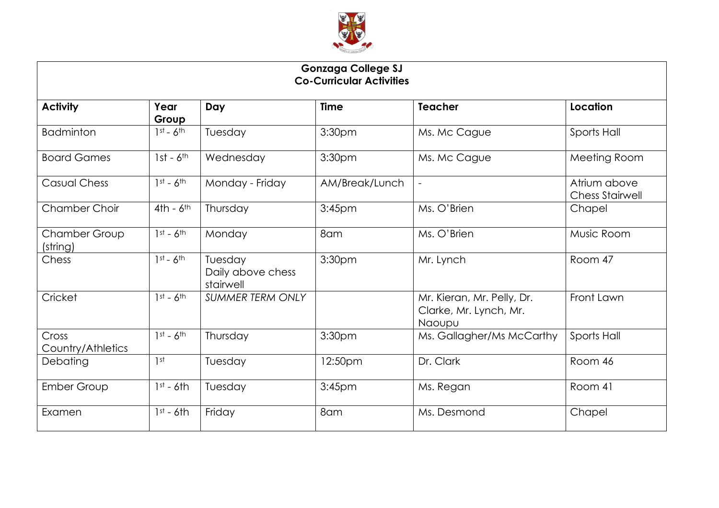

| <b>Gonzaga College SJ</b><br><b>Co-Curricular Activities</b> |               |                                           |                    |                                                                |                                        |  |  |  |
|--------------------------------------------------------------|---------------|-------------------------------------------|--------------------|----------------------------------------------------------------|----------------------------------------|--|--|--|
| <b>Activity</b>                                              | Year<br>Group | Day                                       | <b>Time</b>        | <b>Teacher</b>                                                 | Location                               |  |  |  |
| <b>Badminton</b>                                             | $1st - 6th$   | Tuesday                                   | 3:30pm             | Ms. Mc Cague                                                   | Sports Hall                            |  |  |  |
| <b>Board Games</b>                                           | $1st - 6th$   | Wednesday                                 | 3:30pm             | Ms. Mc Cague                                                   | Meeting Room                           |  |  |  |
| <b>Casual Chess</b>                                          | $1st - 6th$   | Monday - Friday                           | AM/Break/Lunch     | $\overline{\phantom{a}}$                                       | Atrium above<br><b>Chess Stairwell</b> |  |  |  |
| <b>Chamber Choir</b>                                         | $4th - 6th$   | Thursday                                  | 3:45 <sub>pm</sub> | Ms. O'Brien                                                    | Chapel                                 |  |  |  |
| Chamber Group<br>(string)                                    | $1st - 6th$   | Monday                                    | 8am                | Ms. O'Brien                                                    | Music Room                             |  |  |  |
| Chess                                                        | $1st - 6th$   | Tuesday<br>Daily above chess<br>stairwell | 3:30pm             | Mr. Lynch                                                      | Room 47                                |  |  |  |
| Cricket                                                      | $1st - 6th$   | <b>SUMMER TERM ONLY</b>                   |                    | Mr. Kieran, Mr. Pelly, Dr.<br>Clarke, Mr. Lynch, Mr.<br>Naoupu | Front Lawn                             |  |  |  |
| Cross<br>Country/Athletics                                   | $1st - 6th$   | Thursday                                  | 3:30pm             | Ms. Gallagher/Ms McCarthy                                      | Sports Hall                            |  |  |  |
| Debating                                                     | 1st           | Tuesday                                   | 12:50pm            | Dr. Clark                                                      | Room 46                                |  |  |  |
| <b>Ember Group</b>                                           | $1st - 6th$   | Tuesday                                   | 3:45 <sub>pm</sub> | Ms. Regan                                                      | Room 41                                |  |  |  |
| Examen                                                       | $1st - 6th$   | Friday                                    | 8am                | Ms. Desmond                                                    | Chapel                                 |  |  |  |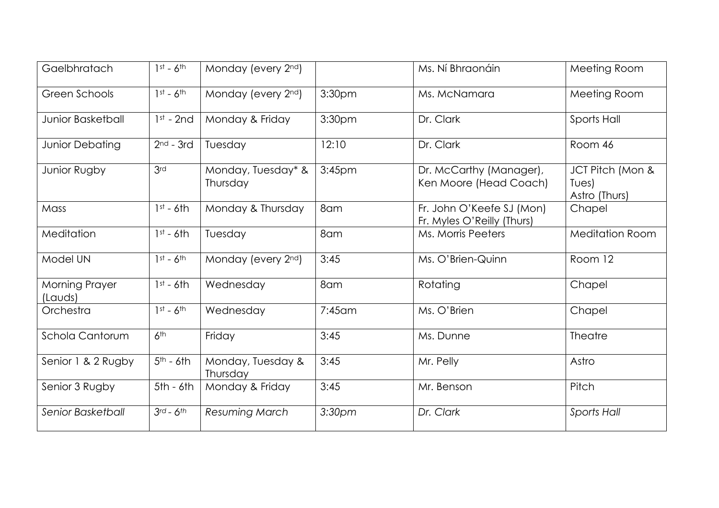| Gaelbhratach              | $1st - 6th$     | Monday (every 2nd)             |                    | Ms. Ní Bhraonáin                                        | Meeting Room                               |
|---------------------------|-----------------|--------------------------------|--------------------|---------------------------------------------------------|--------------------------------------------|
| Green Schools             | $1st - 6th$     | Monday (every 2nd)             | 3:30 <sub>pm</sub> | Ms. McNamara                                            | Meeting Room                               |
| <b>Junior Basketball</b>  | $1st - 2nd$     | Monday & Friday                | 3:30pm             | Dr. Clark                                               | Sports Hall                                |
| <b>Junior Debating</b>    | $2nd - 3rd$     | Tuesday                        | 12:10              | Dr. Clark                                               | Room 46                                    |
| Junior Rugby              | 3rd             | Monday, Tuesday* &<br>Thursday | 3:45 <sub>pm</sub> | Dr. McCarthy (Manager),<br>Ken Moore (Head Coach)       | JCT Pitch (Mon &<br>Tues)<br>Astro (Thurs) |
| Mass                      | $1st - 6th$     | Monday & Thursday              | 8am                | Fr. John O'Keefe SJ (Mon)<br>Fr. Myles O'Reilly (Thurs) | Chapel                                     |
| Meditation                | $1st - 6th$     | Tuesday                        | 8am                | Ms. Morris Peeters                                      | <b>Meditation Room</b>                     |
| Model UN                  | $1st - 6th$     | Monday (every 2nd)             | 3:45               | Ms. O'Brien-Quinn                                       | Room 12                                    |
| Morning Prayer<br>(Lauds) | $1st - 6th$     | Wednesday                      | 8am                | Rotating                                                | Chapel                                     |
| Orchestra                 | $1st - 6th$     | Wednesday                      | $7:45$ am          | Ms. O'Brien                                             | Chapel                                     |
| Schola Cantorum           | 6 <sup>th</sup> | Friday                         | 3:45               | Ms. Dunne                                               | Theatre                                    |
| Senior 1 & 2 Rugby        | $5th - 6th$     | Monday, Tuesday &<br>Thursday  | 3:45               | Mr. Pelly                                               | Astro                                      |
| Senior 3 Rugby            | $5th - 6th$     | Monday & Friday                | 3:45               | Mr. Benson                                              | Pitch                                      |
| Senior Basketball         | $3rd - 6th$     | Resuming March                 | 3:30 <sub>pm</sub> | Dr. Clark                                               | <b>Sports Hall</b>                         |